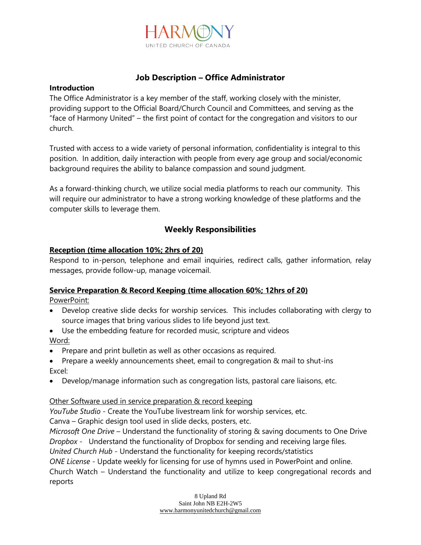

# **Job Description – Office Administrator**

## **Introduction**

The Office Administrator is a key member of the staff, working closely with the minister, providing support to the Official Board/Church Council and Committees, and serving as the "face of Harmony United" – the first point of contact for the congregation and visitors to our church.

Trusted with access to a wide variety of personal information, confidentiality is integral to this position. In addition, daily interaction with people from every age group and social/economic background requires the ability to balance compassion and sound judgment.

As a forward-thinking church, we utilize social media platforms to reach our community. This will require our administrator to have a strong working knowledge of these platforms and the computer skills to leverage them.

# **Weekly Responsibilities**

## **Reception (time allocation 10%; 2hrs of 20)**

Respond to in-person, telephone and email inquiries, redirect calls, gather information, relay messages, provide follow-up, manage voicemail.

### **Service Preparation & Record Keeping (time allocation 60%; 12hrs of 20)**

PowerPoint:

- Develop creative slide decks for worship services. This includes collaborating with clergy to source images that bring various slides to life beyond just text.
- Use the embedding feature for recorded music, scripture and videos Word:
- Prepare and print bulletin as well as other occasions as required.
- Prepare a weekly announcements sheet, email to congregation & mail to shut-ins Excel:
- Develop/manage information such as congregation lists, pastoral care liaisons, etc.

### Other Software used in service preparation & record keeping

*YouTube Studio* - Create the YouTube livestream link for worship services, etc.

Canva – Graphic design tool used in slide decks, posters, etc.

*Microsoft One Drive* – Understand the functionality of storing & saving documents to One Drive *Dropbox* - Understand the functionality of Dropbox for sending and receiving large files.

*United Church Hub* - Understand the functionality for keeping records/statistics

*ONE License* - Update weekly for licensing for use of hymns used in PowerPoint and online. Church Watch – Understand the functionality and utilize to keep congregational records and reports